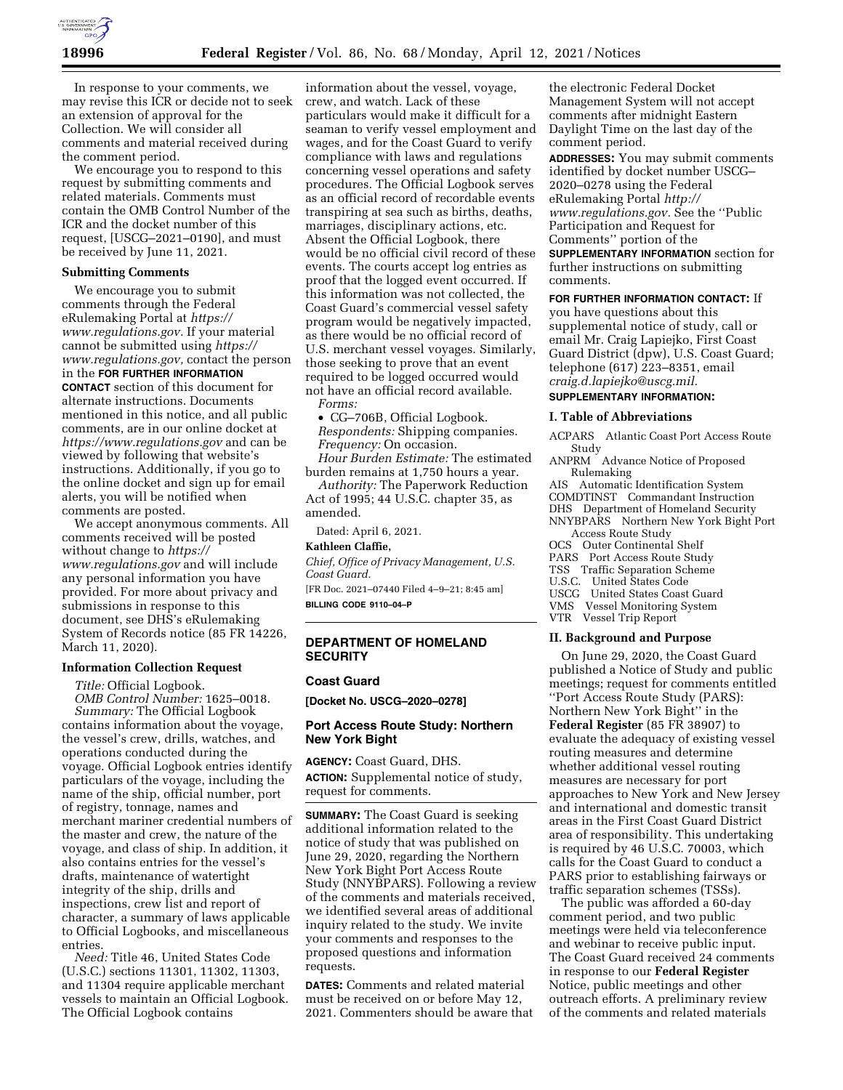

In response to your comments, we may revise this ICR or decide not to seek an extension of approval for the Collection. We will consider all comments and material received during the comment period.

We encourage you to respond to this request by submitting comments and related materials. Comments must contain the OMB Control Number of the ICR and the docket number of this request, [USCG–2021–0190], and must be received by June 11, 2021.

## **Submitting Comments**

We encourage you to submit comments through the Federal eRulemaking Portal at *[https://](https://www.regulations.gov) [www.regulations.gov.](https://www.regulations.gov)* If your material cannot be submitted using *[https://](https://www.regulations.gov) [www.regulations.gov,](https://www.regulations.gov)* contact the person in the **FOR FURTHER INFORMATION CONTACT** section of this document for alternate instructions. Documents mentioned in this notice, and all public comments, are in our online docket at *<https://www.regulations.gov>* and can be viewed by following that website's instructions. Additionally, if you go to the online docket and sign up for email alerts, you will be notified when comments are posted.

We accept anonymous comments. All comments received will be posted without change to *[https://](https://www.regulations.gov) [www.regulations.gov](https://www.regulations.gov)* and will include any personal information you have provided. For more about privacy and submissions in response to this document, see DHS's eRulemaking System of Records notice (85 FR 14226, March 11, 2020).

### **Information Collection Request**

*Title:* Official Logbook.

*OMB Control Number:* 1625–0018. *Summary:* The Official Logbook contains information about the voyage, the vessel's crew, drills, watches, and operations conducted during the voyage. Official Logbook entries identify particulars of the voyage, including the name of the ship, official number, port of registry, tonnage, names and merchant mariner credential numbers of the master and crew, the nature of the voyage, and class of ship. In addition, it also contains entries for the vessel's drafts, maintenance of watertight integrity of the ship, drills and inspections, crew list and report of character, a summary of laws applicable to Official Logbooks, and miscellaneous entries.

*Need:* Title 46, United States Code (U.S.C.) sections 11301, 11302, 11303, and 11304 require applicable merchant vessels to maintain an Official Logbook. The Official Logbook contains

information about the vessel, voyage, crew, and watch. Lack of these particulars would make it difficult for a seaman to verify vessel employment and wages, and for the Coast Guard to verify compliance with laws and regulations concerning vessel operations and safety procedures. The Official Logbook serves as an official record of recordable events transpiring at sea such as births, deaths, marriages, disciplinary actions, etc. Absent the Official Logbook, there would be no official civil record of these events. The courts accept log entries as proof that the logged event occurred. If this information was not collected, the Coast Guard's commercial vessel safety program would be negatively impacted, as there would be no official record of U.S. merchant vessel voyages. Similarly, those seeking to prove that an event required to be logged occurred would not have an official record available. *Forms:* 

• CG–706B, Official Logbook. *Respondents:* Shipping companies. *Frequency:* On occasion.

*Hour Burden Estimate:* The estimated burden remains at 1,750 hours a year.

*Authority:* The Paperwork Reduction Act of 1995; 44 U.S.C. chapter 35, as

amended.

Dated: April 6, 2021.

# **Kathleen Claffie,**

*Chief, Office of Privacy Management, U.S. Coast Guard.* 

[FR Doc. 2021–07440 Filed 4–9–21; 8:45 am] **BILLING CODE 9110–04–P** 

## **DEPARTMENT OF HOMELAND SECURITY**

#### **Coast Guard**

**[Docket No. USCG–2020–0278]** 

## **Port Access Route Study: Northern New York Bight**

**AGENCY:** Coast Guard, DHS. **ACTION:** Supplemental notice of study, request for comments.

**SUMMARY:** The Coast Guard is seeking additional information related to the notice of study that was published on June 29, 2020, regarding the Northern New York Bight Port Access Route Study (NNYBPARS). Following a review of the comments and materials received, we identified several areas of additional inquiry related to the study. We invite your comments and responses to the proposed questions and information requests.

**DATES:** Comments and related material must be received on or before May 12, 2021. Commenters should be aware that

the electronic Federal Docket Management System will not accept comments after midnight Eastern Daylight Time on the last day of the comment period.

**ADDRESSES:** You may submit comments identified by docket number USCG– 2020–0278 using the Federal eRulemaking Portal *[http://](http://www.regulations.gov) [www.regulations.gov.](http://www.regulations.gov)* See the ''Public Participation and Request for Comments'' portion of the **SUPPLEMENTARY INFORMATION** section for further instructions on submitting comments.

#### **FOR FURTHER INFORMATION CONTACT:** If

you have questions about this supplemental notice of study, call or email Mr. Craig Lapiejko, First Coast Guard District (dpw), U.S. Coast Guard; telephone (617) 223–8351, email *[craig.d.lapiejko@uscg.mil.](mailto:craig.d.lapiejko@uscg.mil)* 

### **SUPPLEMENTARY INFORMATION:**

#### **I. Table of Abbreviations**

ACPARS Atlantic Coast Port Access Route Study

ANPRM Advance Notice of Proposed Rulemaking

- AIS Automatic Identification System
- COMDTINST Commandant Instruction
- DHS Department of Homeland Security
- NNYBPARS Northern New York Bight Port Access Route Study
- OCS Outer Continental Shelf
- PARS Port Access Route Study
- TSS Traffic Separation Scheme<br>U.S.C. United States Code
- United States Code
- USCG United States Coast Guard<br>VMS Vessel Monitoring System
- Vessel Monitoring System VTR Vessel Trip Report

### **II. Background and Purpose**

On June 29, 2020, the Coast Guard published a Notice of Study and public meetings; request for comments entitled ''Port Access Route Study (PARS): Northern New York Bight'' in the **Federal Register** (85 FR 38907) to evaluate the adequacy of existing vessel routing measures and determine whether additional vessel routing measures are necessary for port approaches to New York and New Jersey and international and domestic transit areas in the First Coast Guard District area of responsibility. This undertaking is required by 46 U.S.C. 70003, which calls for the Coast Guard to conduct a PARS prior to establishing fairways or traffic separation schemes (TSSs).

The public was afforded a 60-day comment period, and two public meetings were held via teleconference and webinar to receive public input. The Coast Guard received 24 comments in response to our **Federal Register**  Notice, public meetings and other outreach efforts. A preliminary review of the comments and related materials